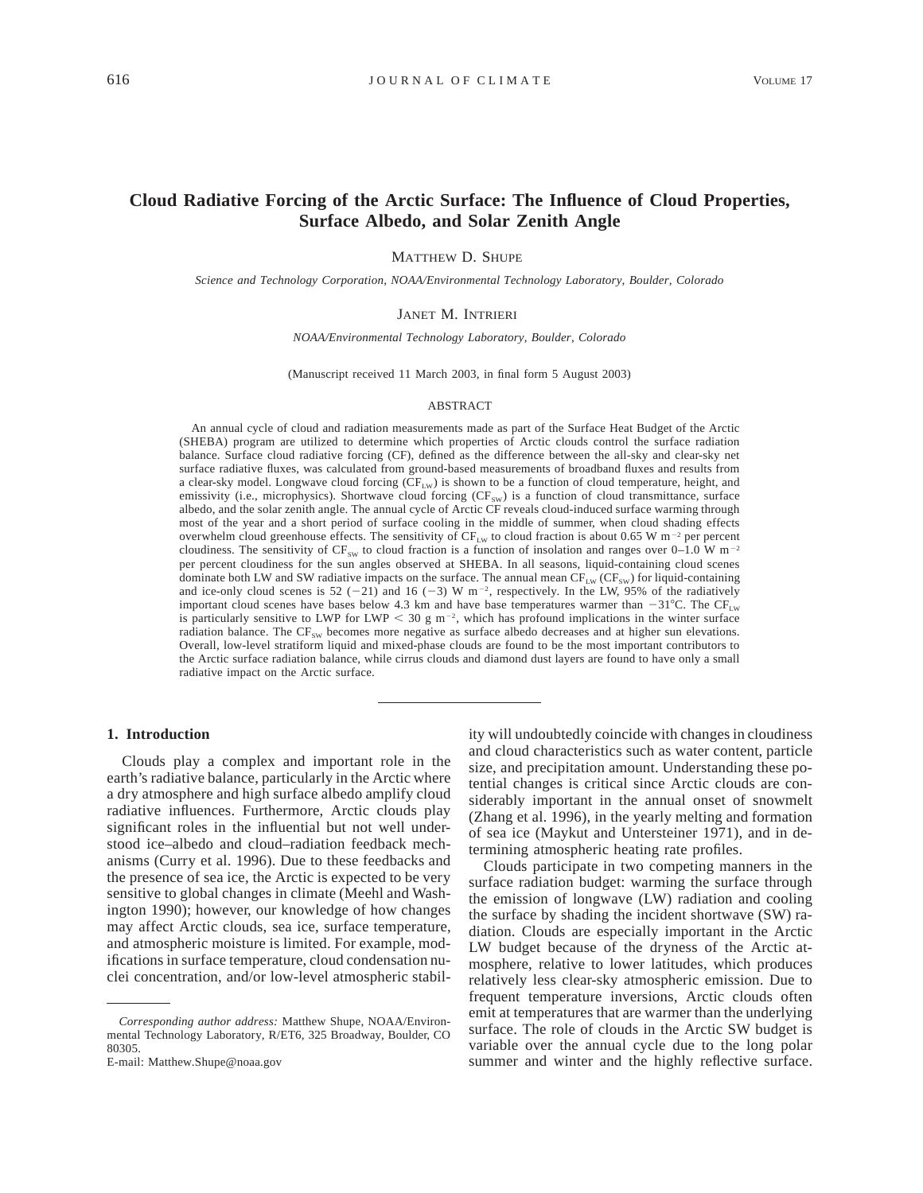# **Cloud Radiative Forcing of the Arctic Surface: The Influence of Cloud Properties, Surface Albedo, and Solar Zenith Angle**

MATTHEW D. SHUPE

*Science and Technology Corporation, NOAA/Environmental Technology Laboratory, Boulder, Colorado*

# JANET M. INTRIERI

*NOAA/Environmental Technology Laboratory, Boulder, Colorado*

(Manuscript received 11 March 2003, in final form 5 August 2003)

#### ABSTRACT

An annual cycle of cloud and radiation measurements made as part of the Surface Heat Budget of the Arctic (SHEBA) program are utilized to determine which properties of Arctic clouds control the surface radiation balance. Surface cloud radiative forcing (CF), defined as the difference between the all-sky and clear-sky net surface radiative fluxes, was calculated from ground-based measurements of broadband fluxes and results from a clear-sky model. Longwave cloud forcing  $(CF_{LW})$  is shown to be a function of cloud temperature, height, and emissivity (i.e., microphysics). Shortwave cloud forcing  $(CF_{SW})$  is a function of cloud transmittance, surface albedo, and the solar zenith angle. The annual cycle of Arctic CF reveals cloud-induced surface warming through most of the year and a short period of surface cooling in the middle of summer, when cloud shading effects overwhelm cloud greenhouse effects. The sensitivity of  $CF_{LW}$  to cloud fraction is about 0.65 W m<sup>-2</sup> per percent cloudiness. The sensitivity of  $CF_{sw}$  to cloud fraction is a function of insolation and ranges over 0–1.0 W m<sup>-2</sup> per percent cloudiness for the sun angles observed at SHEBA. In all seasons, liquid-containing cloud scenes dominate both LW and SW radiative impacts on the surface. The annual mean  $CF_{LW} (CF_{SW})$  for liquid-containing and ice-only cloud scenes is 52 (-21) and 16 (-3) W  $m^{-2}$ , respectively. In the LW, 95% of the radiatively important cloud scenes have bases below 4.3 km and have base temperatures warmer than  $-31^{\circ}$ C. The CF<sub>LW</sub> is particularly sensitive to LWP for LWP  $<$  30 g m<sup>-2</sup>, which has profound implications in the winter surface radiation balance. The  $CF_{sw}$  becomes more negative as surface albedo decreases and at higher sun elevations. Overall, low-level stratiform liquid and mixed-phase clouds are found to be the most important contributors to the Arctic surface radiation balance, while cirrus clouds and diamond dust layers are found to have only a small radiative impact on the Arctic surface.

### **1. Introduction**

Clouds play a complex and important role in the earth's radiative balance, particularly in the Arctic where a dry atmosphere and high surface albedo amplify cloud radiative influences. Furthermore, Arctic clouds play significant roles in the influential but not well understood ice–albedo and cloud–radiation feedback mechanisms (Curry et al. 1996). Due to these feedbacks and the presence of sea ice, the Arctic is expected to be very sensitive to global changes in climate (Meehl and Washington 1990); however, our knowledge of how changes may affect Arctic clouds, sea ice, surface temperature, and atmospheric moisture is limited. For example, modifications in surface temperature, cloud condensation nuclei concentration, and/or low-level atmospheric stabil-

E-mail: Matthew.Shupe@noaa.gov

ity will undoubtedly coincide with changes in cloudiness and cloud characteristics such as water content, particle size, and precipitation amount. Understanding these potential changes is critical since Arctic clouds are considerably important in the annual onset of snowmelt (Zhang et al. 1996), in the yearly melting and formation of sea ice (Maykut and Untersteiner 1971), and in determining atmospheric heating rate profiles.

Clouds participate in two competing manners in the surface radiation budget: warming the surface through the emission of longwave (LW) radiation and cooling the surface by shading the incident shortwave (SW) radiation. Clouds are especially important in the Arctic LW budget because of the dryness of the Arctic atmosphere, relative to lower latitudes, which produces relatively less clear-sky atmospheric emission. Due to frequent temperature inversions, Arctic clouds often emit at temperatures that are warmer than the underlying surface. The role of clouds in the Arctic SW budget is variable over the annual cycle due to the long polar summer and winter and the highly reflective surface.

*Corresponding author address:* Matthew Shupe, NOAA/Environmental Technology Laboratory, R/ET6, 325 Broadway, Boulder, CO 80305.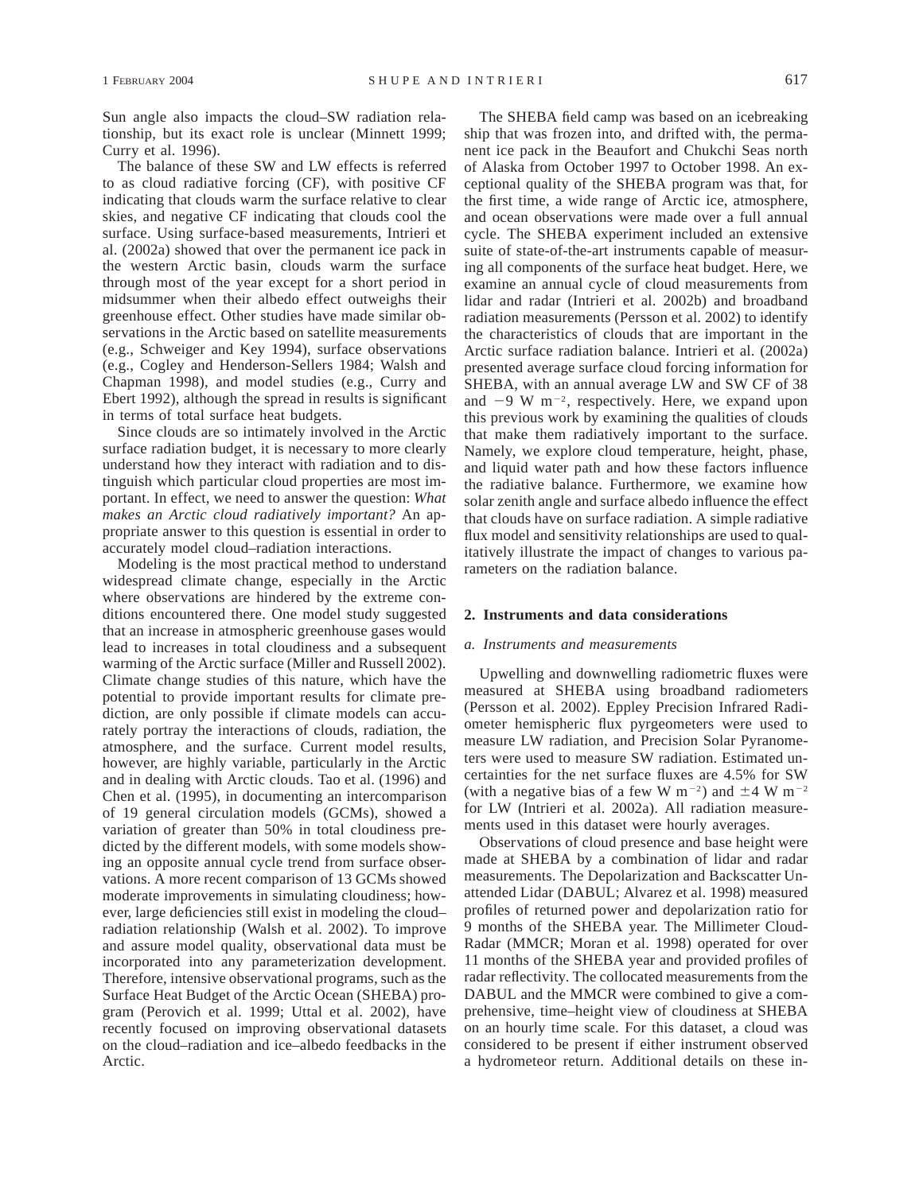Sun angle also impacts the cloud–SW radiation relationship, but its exact role is unclear (Minnett 1999; Curry et al. 1996).

The balance of these SW and LW effects is referred to as cloud radiative forcing (CF), with positive CF indicating that clouds warm the surface relative to clear skies, and negative CF indicating that clouds cool the surface. Using surface-based measurements, Intrieri et al. (2002a) showed that over the permanent ice pack in the western Arctic basin, clouds warm the surface through most of the year except for a short period in midsummer when their albedo effect outweighs their greenhouse effect. Other studies have made similar observations in the Arctic based on satellite measurements (e.g., Schweiger and Key 1994), surface observations (e.g., Cogley and Henderson-Sellers 1984; Walsh and Chapman 1998), and model studies (e.g., Curry and Ebert 1992), although the spread in results is significant in terms of total surface heat budgets.

Since clouds are so intimately involved in the Arctic surface radiation budget, it is necessary to more clearly understand how they interact with radiation and to distinguish which particular cloud properties are most important. In effect, we need to answer the question: *What makes an Arctic cloud radiatively important?* An appropriate answer to this question is essential in order to accurately model cloud–radiation interactions.

Modeling is the most practical method to understand widespread climate change, especially in the Arctic where observations are hindered by the extreme conditions encountered there. One model study suggested that an increase in atmospheric greenhouse gases would lead to increases in total cloudiness and a subsequent warming of the Arctic surface (Miller and Russell 2002). Climate change studies of this nature, which have the potential to provide important results for climate prediction, are only possible if climate models can accurately portray the interactions of clouds, radiation, the atmosphere, and the surface. Current model results, however, are highly variable, particularly in the Arctic and in dealing with Arctic clouds. Tao et al. (1996) and Chen et al. (1995), in documenting an intercomparison of 19 general circulation models (GCMs), showed a variation of greater than 50% in total cloudiness predicted by the different models, with some models showing an opposite annual cycle trend from surface observations. A more recent comparison of 13 GCMs showed moderate improvements in simulating cloudiness; however, large deficiencies still exist in modeling the cloud– radiation relationship (Walsh et al. 2002). To improve and assure model quality, observational data must be incorporated into any parameterization development. Therefore, intensive observational programs, such as the Surface Heat Budget of the Arctic Ocean (SHEBA) program (Perovich et al. 1999; Uttal et al. 2002), have recently focused on improving observational datasets on the cloud–radiation and ice–albedo feedbacks in the Arctic.

The SHEBA field camp was based on an icebreaking ship that was frozen into, and drifted with, the permanent ice pack in the Beaufort and Chukchi Seas north of Alaska from October 1997 to October 1998. An exceptional quality of the SHEBA program was that, for the first time, a wide range of Arctic ice, atmosphere, and ocean observations were made over a full annual cycle. The SHEBA experiment included an extensive suite of state-of-the-art instruments capable of measuring all components of the surface heat budget. Here, we examine an annual cycle of cloud measurements from lidar and radar (Intrieri et al. 2002b) and broadband radiation measurements (Persson et al. 2002) to identify the characteristics of clouds that are important in the Arctic surface radiation balance. Intrieri et al. (2002a) presented average surface cloud forcing information for SHEBA, with an annual average LW and SW CF of 38 and  $-9 \text{ W m}^{-2}$ , respectively. Here, we expand upon this previous work by examining the qualities of clouds that make them radiatively important to the surface. Namely, we explore cloud temperature, height, phase, and liquid water path and how these factors influence the radiative balance. Furthermore, we examine how solar zenith angle and surface albedo influence the effect that clouds have on surface radiation. A simple radiative flux model and sensitivity relationships are used to qualitatively illustrate the impact of changes to various parameters on the radiation balance.

#### **2. Instruments and data considerations**

### *a. Instruments and measurements*

Upwelling and downwelling radiometric fluxes were measured at SHEBA using broadband radiometers (Persson et al. 2002). Eppley Precision Infrared Radiometer hemispheric flux pyrgeometers were used to measure LW radiation, and Precision Solar Pyranometers were used to measure SW radiation. Estimated uncertainties for the net surface fluxes are 4.5% for SW (with a negative bias of a few W m<sup>-2</sup>) and  $\pm$ 4 W m<sup>-2</sup> for LW (Intrieri et al. 2002a). All radiation measurements used in this dataset were hourly averages.

Observations of cloud presence and base height were made at SHEBA by a combination of lidar and radar measurements. The Depolarization and Backscatter Unattended Lidar (DABUL; Alvarez et al. 1998) measured profiles of returned power and depolarization ratio for 9 months of the SHEBA year. The Millimeter Cloud-Radar (MMCR; Moran et al. 1998) operated for over 11 months of the SHEBA year and provided profiles of radar reflectivity. The collocated measurements from the DABUL and the MMCR were combined to give a comprehensive, time–height view of cloudiness at SHEBA on an hourly time scale. For this dataset, a cloud was considered to be present if either instrument observed a hydrometeor return. Additional details on these in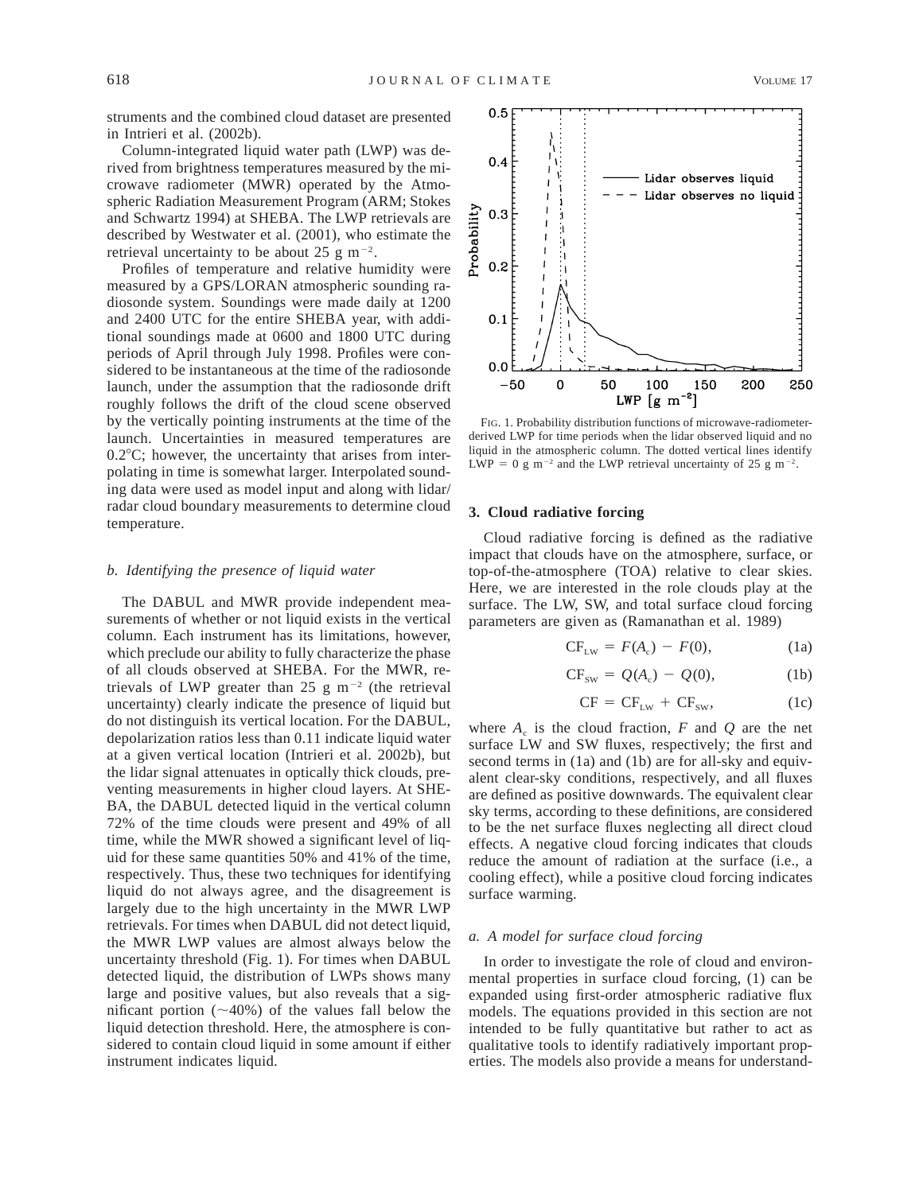struments and the combined cloud dataset are presented in Intrieri et al. (2002b).

Column-integrated liquid water path (LWP) was derived from brightness temperatures measured by the microwave radiometer (MWR) operated by the Atmospheric Radiation Measurement Program (ARM; Stokes and Schwartz 1994) at SHEBA. The LWP retrievals are described by Westwater et al. (2001), who estimate the retrieval uncertainty to be about 25 g m<sup> $-2$ </sup>.

Profiles of temperature and relative humidity were measured by a GPS/LORAN atmospheric sounding radiosonde system. Soundings were made daily at 1200 and 2400 UTC for the entire SHEBA year, with additional soundings made at 0600 and 1800 UTC during periods of April through July 1998. Profiles were considered to be instantaneous at the time of the radiosonde launch, under the assumption that the radiosonde drift roughly follows the drift of the cloud scene observed by the vertically pointing instruments at the time of the launch. Uncertainties in measured temperatures are  $0.2^{\circ}$ C; however, the uncertainty that arises from interpolating in time is somewhat larger. Interpolated sounding data were used as model input and along with lidar/ radar cloud boundary measurements to determine cloud temperature.

#### *b. Identifying the presence of liquid water*

The DABUL and MWR provide independent measurements of whether or not liquid exists in the vertical column. Each instrument has its limitations, however, which preclude our ability to fully characterize the phase of all clouds observed at SHEBA. For the MWR, retrievals of LWP greater than 25 g m<sup>-2</sup> (the retrieval uncertainty) clearly indicate the presence of liquid but do not distinguish its vertical location. For the DABUL, depolarization ratios less than 0.11 indicate liquid water at a given vertical location (Intrieri et al. 2002b), but the lidar signal attenuates in optically thick clouds, preventing measurements in higher cloud layers. At SHE-BA, the DABUL detected liquid in the vertical column 72% of the time clouds were present and 49% of all time, while the MWR showed a significant level of liquid for these same quantities 50% and 41% of the time, respectively. Thus, these two techniques for identifying liquid do not always agree, and the disagreement is largely due to the high uncertainty in the MWR LWP retrievals. For times when DABUL did not detect liquid, the MWR LWP values are almost always below the uncertainty threshold (Fig. 1). For times when DABUL detected liquid, the distribution of LWPs shows many large and positive values, but also reveals that a significant portion  $(\sim 40\%)$  of the values fall below the liquid detection threshold. Here, the atmosphere is considered to contain cloud liquid in some amount if either instrument indicates liquid.



FIG. 1. Probability distribution functions of microwave-radiometerderived LWP for time periods when the lidar observed liquid and no liquid in the atmospheric column. The dotted vertical lines identify LWP = 0 g m<sup>-2</sup> and the LWP retrieval uncertainty of 25 g m<sup>-2</sup>.

### **3. Cloud radiative forcing**

Cloud radiative forcing is defined as the radiative impact that clouds have on the atmosphere, surface, or top-of-the-atmosphere (TOA) relative to clear skies. Here, we are interested in the role clouds play at the surface. The LW, SW, and total surface cloud forcing parameters are given as (Ramanathan et al. 1989)

$$
CF_{LW} = F(A_c) - F(0), \qquad (1a)
$$

$$
CF_{sw} = Q(A_c) - Q(0), \qquad (1b)
$$

$$
CF = CF_{LW} + CF_{SW}, \t(1c)
$$

where  $A_c$  is the cloud fraction,  $F$  and  $Q$  are the net surface LW and SW fluxes, respectively; the first and second terms in (1a) and (1b) are for all-sky and equivalent clear-sky conditions, respectively, and all fluxes are defined as positive downwards. The equivalent clear sky terms, according to these definitions, are considered to be the net surface fluxes neglecting all direct cloud effects. A negative cloud forcing indicates that clouds reduce the amount of radiation at the surface (i.e., a cooling effect), while a positive cloud forcing indicates surface warming.

### *a. A model for surface cloud forcing*

In order to investigate the role of cloud and environmental properties in surface cloud forcing, (1) can be expanded using first-order atmospheric radiative flux models. The equations provided in this section are not intended to be fully quantitative but rather to act as qualitative tools to identify radiatively important properties. The models also provide a means for understand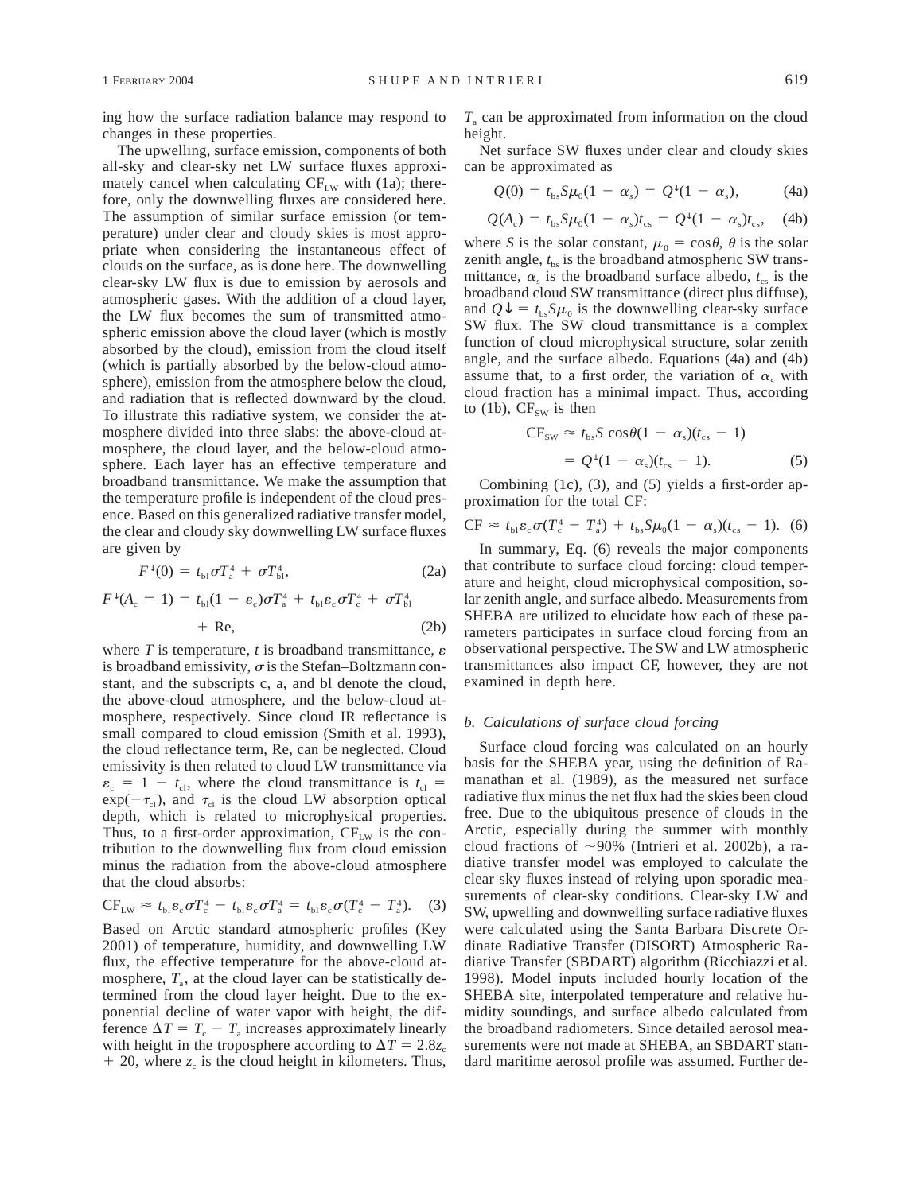ing how the surface radiation balance may respond to changes in these properties.

The upwelling, surface emission, components of both all-sky and clear-sky net LW surface fluxes approximately cancel when calculating  $CF_{LW}$  with (1a); therefore, only the downwelling fluxes are considered here. The assumption of similar surface emission (or temperature) under clear and cloudy skies is most appropriate when considering the instantaneous effect of clouds on the surface, as is done here. The downwelling clear-sky LW flux is due to emission by aerosols and atmospheric gases. With the addition of a cloud layer, the LW flux becomes the sum of transmitted atmospheric emission above the cloud layer (which is mostly absorbed by the cloud), emission from the cloud itself (which is partially absorbed by the below-cloud atmosphere), emission from the atmosphere below the cloud, and radiation that is reflected downward by the cloud. To illustrate this radiative system, we consider the atmosphere divided into three slabs: the above-cloud atmosphere, the cloud layer, and the below-cloud atmosphere. Each layer has an effective temperature and broadband transmittance. We make the assumption that the temperature profile is independent of the cloud presence. Based on this generalized radiative transfer model, the clear and cloudy sky downwelling LW surface fluxes are given by

$$
F^{\downarrow}(0) = t_{\rm bl}\sigma T_{\rm a}^4 + \sigma T_{\rm bl}^4,\tag{2a}
$$

$$
F^{\downarrow}(A_{c} = 1) = t_{\text{bl}}(1 - \varepsilon_{c})\sigma T_{\text{a}}^{4} + t_{\text{bl}}\varepsilon_{c}\sigma T_{c}^{4} + \sigma T_{\text{bl}}^{4}
$$
  
+ Re, (2b)

where  $T$  is temperature,  $t$  is broadband transmittance,  $\varepsilon$ is broadband emissivity,  $\sigma$  is the Stefan–Boltzmann constant, and the subscripts c, a, and bl denote the cloud, the above-cloud atmosphere, and the below-cloud atmosphere, respectively. Since cloud IR reflectance is small compared to cloud emission (Smith et al. 1993), the cloud reflectance term, Re, can be neglected. Cloud emissivity is then related to cloud LW transmittance via  $\varepsilon_c = 1 - t_{\text{cl}}$ , where the cloud transmittance is  $t_{\text{cl}} =$  $exp(-\tau_{cl})$ , and  $\tau_{cl}$  is the cloud LW absorption optical depth, which is related to microphysical properties. Thus, to a first-order approximation,  $CF_{LW}$  is the contribution to the downwelling flux from cloud emission minus the radiation from the above-cloud atmosphere that the cloud absorbs:

$$
CF_{LW} \approx t_{bl} \varepsilon_c \sigma T_c^4 - t_{bl} \varepsilon_c \sigma T_a^4 = t_{bl} \varepsilon_c \sigma (T_c^4 - T_a^4). \quad (3)
$$

Based on Arctic standard atmospheric profiles (Key 2001) of temperature, humidity, and downwelling LW flux, the effective temperature for the above-cloud atmosphere,  $T_a$ , at the cloud layer can be statistically determined from the cloud layer height. Due to the exponential decline of water vapor with height, the difference  $\Delta T = T_c - T_s$  increases approximately linearly with height in the troposphere according to  $\Delta T = 2.8z_c$  $+$  20, where  $z_c$  is the cloud height in kilometers. Thus, *T*<sup>a</sup> can be approximated from information on the cloud height.

Net surface SW fluxes under clear and cloudy skies can be approximated as

$$
Q(0) = tbs S \mu0 (1 - \alphas) = Q\downarrow (1 - \alphas), \qquad (4a)
$$

$$
Q(A_{\rm c}) = t_{\rm bs} S \mu_0 (1 - \alpha_s) t_{\rm cs} = Q^{\downarrow} (1 - \alpha_s) t_{\rm cs}, \quad (4b)
$$

where *S* is the solar constant,  $\mu_0 = \cos \theta$ ,  $\theta$  is the solar zenith angle,  $t_{bs}$  is the broadband atmospheric SW transmittance,  $\alpha_s$  is the broadband surface albedo,  $t_{cs}$  is the broadband cloud SW transmittance (direct plus diffuse), and  $Q\psi = t_{bs}S\mu_0$  is the downwelling clear-sky surface SW flux. The SW cloud transmittance is a complex function of cloud microphysical structure, solar zenith angle, and the surface albedo. Equations (4a) and (4b) assume that, to a first order, the variation of  $\alpha_s$  with cloud fraction has a minimal impact. Thus, according to (1b),  $CF_{sw}$  is then

$$
CF_{sw} \approx t_{bs} S \cos\theta (1 - \alpha_s)(t_{cs} - 1)
$$

$$
= Q^{\downarrow} (1 - \alpha_s)(t_{cs} - 1). \tag{5}
$$

Combining (1c), (3), and (5) yields a first-order approximation for the total CF:

$$
CF \approx t_{\text{bl}} \varepsilon_{\text{c}} \sigma (T_{\text{c}}^4 - T_{\text{a}}^4) + t_{\text{bs}} S \mu_0 (1 - \alpha_{\text{s}}) (t_{\text{cs}} - 1). \tag{6}
$$

In summary, Eq. (6) reveals the major components that contribute to surface cloud forcing: cloud temperature and height, cloud microphysical composition, solar zenith angle, and surface albedo. Measurements from SHEBA are utilized to elucidate how each of these parameters participates in surface cloud forcing from an observational perspective. The SW and LW atmospheric transmittances also impact CF, however, they are not examined in depth here.

### *b. Calculations of surface cloud forcing*

Surface cloud forcing was calculated on an hourly basis for the SHEBA year, using the definition of Ramanathan et al. (1989), as the measured net surface radiative flux minus the net flux had the skies been cloud free. Due to the ubiquitous presence of clouds in the Arctic, especially during the summer with monthly cloud fractions of  $\sim$ 90% (Intrieri et al. 2002b), a radiative transfer model was employed to calculate the clear sky fluxes instead of relying upon sporadic measurements of clear-sky conditions. Clear-sky LW and SW, upwelling and downwelling surface radiative fluxes were calculated using the Santa Barbara Discrete Ordinate Radiative Transfer (DISORT) Atmospheric Radiative Transfer (SBDART) algorithm (Ricchiazzi et al. 1998). Model inputs included hourly location of the SHEBA site, interpolated temperature and relative humidity soundings, and surface albedo calculated from the broadband radiometers. Since detailed aerosol measurements were not made at SHEBA, an SBDART standard maritime aerosol profile was assumed. Further de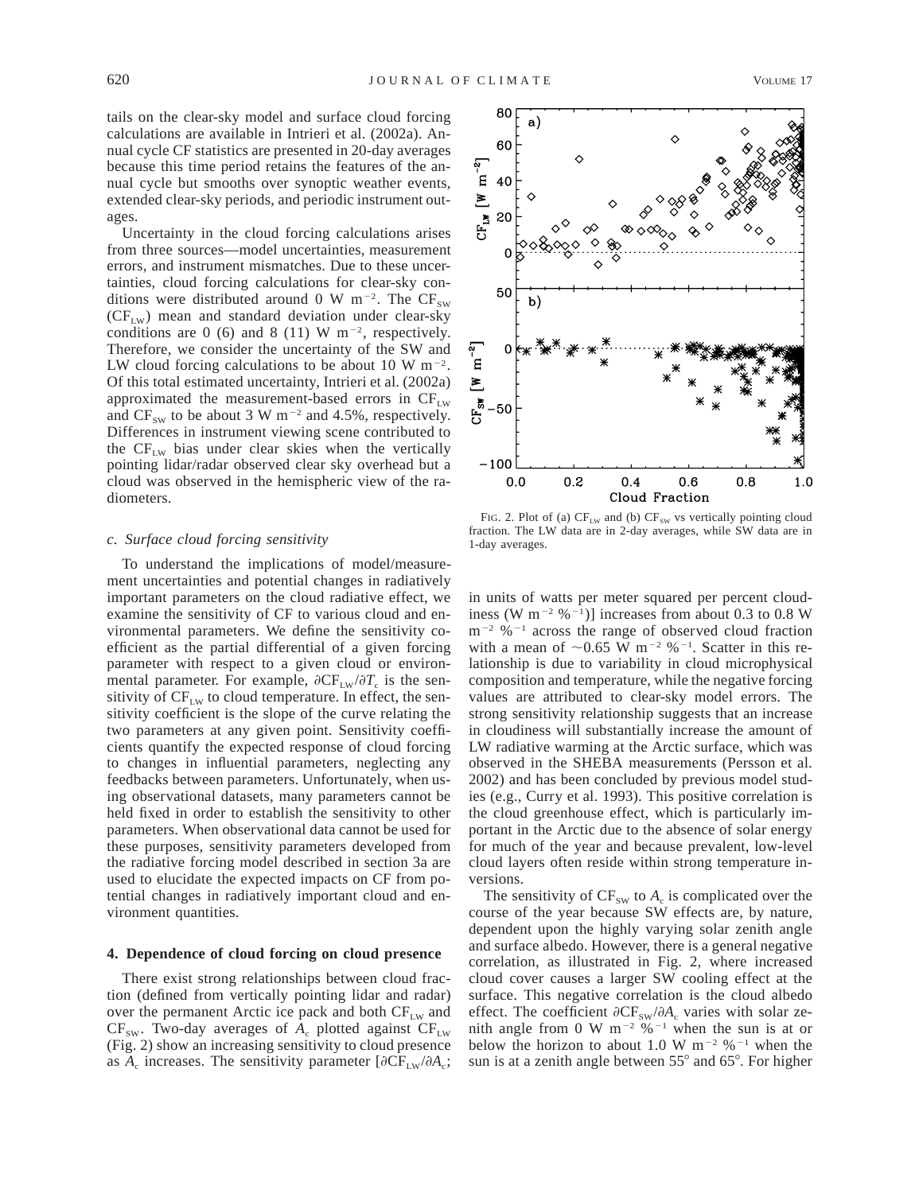tails on the clear-sky model and surface cloud forcing calculations are available in Intrieri et al. (2002a). Annual cycle CF statistics are presented in 20-day averages because this time period retains the features of the annual cycle but smooths over synoptic weather events, extended clear-sky periods, and periodic instrument outages.

Uncertainty in the cloud forcing calculations arises from three sources—model uncertainties, measurement errors, and instrument mismatches. Due to these uncertainties, cloud forcing calculations for clear-sky conditions were distributed around 0 W m<sup>-2</sup>. The  $CF_{sw}$  $(CF_{LW})$  mean and standard deviation under clear-sky conditions are 0 (6) and 8 (11) W  $m^{-2}$ , respectively. Therefore, we consider the uncertainty of the SW and LW cloud forcing calculations to be about 10 W  $\mathrm{m}^{-2}$ . Of this total estimated uncertainty, Intrieri et al. (2002a) approximated the measurement-based errors in  $CF_{LW}$ and  $CF_{sw}$  to be about 3 W m<sup>-2</sup> and 4.5%, respectively. Differences in instrument viewing scene contributed to the  $CF_{LW}$  bias under clear skies when the vertically pointing lidar/radar observed clear sky overhead but a cloud was observed in the hemispheric view of the radiometers.

#### *c. Surface cloud forcing sensitivity*

To understand the implications of model/measurement uncertainties and potential changes in radiatively important parameters on the cloud radiative effect, we examine the sensitivity of CF to various cloud and environmental parameters. We define the sensitivity coefficient as the partial differential of a given forcing parameter with respect to a given cloud or environmental parameter. For example,  $\partial CF_{LW}/\partial T_c$  is the sensitivity of  $CF_{LW}$  to cloud temperature. In effect, the sensitivity coefficient is the slope of the curve relating the two parameters at any given point. Sensitivity coefficients quantify the expected response of cloud forcing to changes in influential parameters, neglecting any feedbacks between parameters. Unfortunately, when using observational datasets, many parameters cannot be held fixed in order to establish the sensitivity to other parameters. When observational data cannot be used for these purposes, sensitivity parameters developed from the radiative forcing model described in section 3a are used to elucidate the expected impacts on CF from potential changes in radiatively important cloud and environment quantities.

### **4. Dependence of cloud forcing on cloud presence**

There exist strong relationships between cloud fraction (defined from vertically pointing lidar and radar) over the permanent Arctic ice pack and both  $CF_{LW}$  and  $CF_{sw}$ . Two-day averages of  $A_c$  plotted against  $CF_{LW}$ (Fig. 2) show an increasing sensitivity to cloud presence as  $A_c$  increases. The sensitivity parameter  $[\partial CF_{LW}/\partial A_c;$ 



FIG. 2. Plot of (a)  $CF_{LW}$  and (b)  $CF_{SW}$  vs vertically pointing cloud fraction. The LW data are in 2-day averages, while SW data are in 1-day averages.

in units of watts per meter squared per percent cloudiness (W m<sup>-2</sup> %<sup>-1</sup>)] increases from about 0.3 to 0.8 W  $m^{-2}$  %<sup>-1</sup> across the range of observed cloud fraction with a mean of  $\sim 0.65$  W m<sup>-2</sup> %<sup>-1</sup>. Scatter in this relationship is due to variability in cloud microphysical composition and temperature, while the negative forcing values are attributed to clear-sky model errors. The strong sensitivity relationship suggests that an increase in cloudiness will substantially increase the amount of LW radiative warming at the Arctic surface, which was observed in the SHEBA measurements (Persson et al. 2002) and has been concluded by previous model studies (e.g., Curry et al. 1993). This positive correlation is the cloud greenhouse effect, which is particularly important in the Arctic due to the absence of solar energy for much of the year and because prevalent, low-level cloud layers often reside within strong temperature inversions.

The sensitivity of  $CF_{SW}$  to  $A_c$  is complicated over the course of the year because SW effects are, by nature, dependent upon the highly varying solar zenith angle and surface albedo. However, there is a general negative correlation, as illustrated in Fig. 2, where increased cloud cover causes a larger SW cooling effect at the surface. This negative correlation is the cloud albedo effect. The coefficient  $\partial CF_{sw}/\partial A_c$  varies with solar zenith angle from 0 W m<sup>-2</sup> %<sup>-1</sup> when the sun is at or below the horizon to about 1.0 W  $m^{-2}$  %<sup>-1</sup> when the sun is at a zenith angle between  $55^{\circ}$  and  $65^{\circ}$ . For higher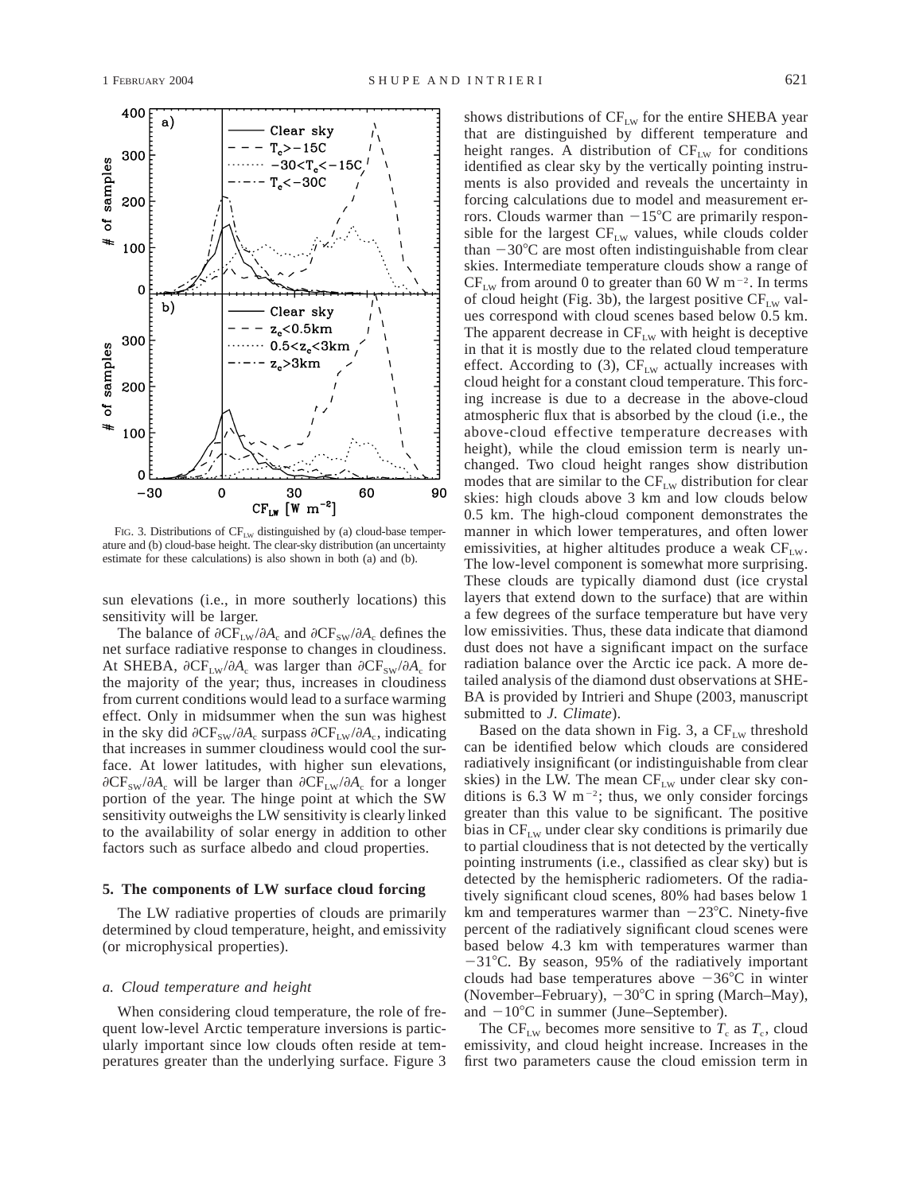

FIG. 3. Distributions of  $CF_{LW}$  distinguished by (a) cloud-base temperature and (b) cloud-base height. The clear-sky distribution (an uncertainty estimate for these calculations) is also shown in both (a) and (b).

sun elevations (i.e., in more southerly locations) this sensitivity will be larger.

The balance of  $\partial CF_{LW}/\partial A_c$  and  $\partial CF_{SW}/\partial A_c$  defines the net surface radiative response to changes in cloudiness. At SHEBA,  $\partial CF_{LW}/\partial A_c$  was larger than  $\partial CF_{SW}/\partial A_c$  for the majority of the year; thus, increases in cloudiness from current conditions would lead to a surface warming effect. Only in midsummer when the sun was highest in the sky did  $\partial CF_{sw}/\partial A_c$  surpass  $\partial CF_{LW}/\partial A_c$ , indicating that increases in summer cloudiness would cool the surface. At lower latitudes, with higher sun elevations,  $\partial CF_{sw}/\partial A_c$  will be larger than  $\partial CF_{Lw}/\partial A_c$  for a longer portion of the year. The hinge point at which the SW sensitivity outweighs the LW sensitivity is clearly linked to the availability of solar energy in addition to other factors such as surface albedo and cloud properties.

#### **5. The components of LW surface cloud forcing**

The LW radiative properties of clouds are primarily determined by cloud temperature, height, and emissivity (or microphysical properties).

#### *a. Cloud temperature and height*

When considering cloud temperature, the role of frequent low-level Arctic temperature inversions is particularly important since low clouds often reside at temperatures greater than the underlying surface. Figure 3 shows distributions of  $CF_{LW}$  for the entire SHEBA year that are distinguished by different temperature and height ranges. A distribution of  $CF_{LW}$  for conditions identified as clear sky by the vertically pointing instruments is also provided and reveals the uncertainty in forcing calculations due to model and measurement errors. Clouds warmer than  $-15^{\circ}$ C are primarily responsible for the largest  $CF_{LW}$  values, while clouds colder than  $-30^{\circ}$ C are most often indistinguishable from clear skies. Intermediate temperature clouds show a range of  $CF_{LW}$  from around 0 to greater than 60 W m<sup>-2</sup>. In terms of cloud height (Fig. 3b), the largest positive  $CF_{LW}$  values correspond with cloud scenes based below 0.5 km. The apparent decrease in  $CF_{LW}$  with height is deceptive in that it is mostly due to the related cloud temperature effect. According to  $(3)$ , CF<sub>LW</sub> actually increases with cloud height for a constant cloud temperature. This forcing increase is due to a decrease in the above-cloud atmospheric flux that is absorbed by the cloud (i.e., the above-cloud effective temperature decreases with height), while the cloud emission term is nearly unchanged. Two cloud height ranges show distribution modes that are similar to the  $CF_{LW}$  distribution for clear skies: high clouds above 3 km and low clouds below 0.5 km. The high-cloud component demonstrates the manner in which lower temperatures, and often lower emissivities, at higher altitudes produce a weak  $CF_{LW}$ . The low-level component is somewhat more surprising. These clouds are typically diamond dust (ice crystal layers that extend down to the surface) that are within a few degrees of the surface temperature but have very low emissivities. Thus, these data indicate that diamond dust does not have a significant impact on the surface radiation balance over the Arctic ice pack. A more detailed analysis of the diamond dust observations at SHE-BA is provided by Intrieri and Shupe (2003, manuscript submitted to *J. Climate*).

Based on the data shown in Fig. 3, a  $CF_{LW}$  threshold can be identified below which clouds are considered radiatively insignificant (or indistinguishable from clear skies) in the LW. The mean  $CF_{LW}$  under clear sky conditions is 6.3 W m<sup>-2</sup>; thus, we only consider forcings greater than this value to be significant. The positive bias in  $CF_{LW}$  under clear sky conditions is primarily due to partial cloudiness that is not detected by the vertically pointing instruments (i.e., classified as clear sky) but is detected by the hemispheric radiometers. Of the radiatively significant cloud scenes, 80% had bases below 1 km and temperatures warmer than  $-23^{\circ}$ C. Ninety-five percent of the radiatively significant cloud scenes were based below 4.3 km with temperatures warmer than  $-31^{\circ}$ C. By season, 95% of the radiatively important clouds had base temperatures above  $-36^{\circ}$ C in winter (November–February),  $-30^{\circ}$ C in spring (March–May), and  $-10^{\circ}$ C in summer (June–September).

The CF<sub>LW</sub> becomes more sensitive to  $T_c$  as  $T_c$ , cloud emissivity, and cloud height increase. Increases in the first two parameters cause the cloud emission term in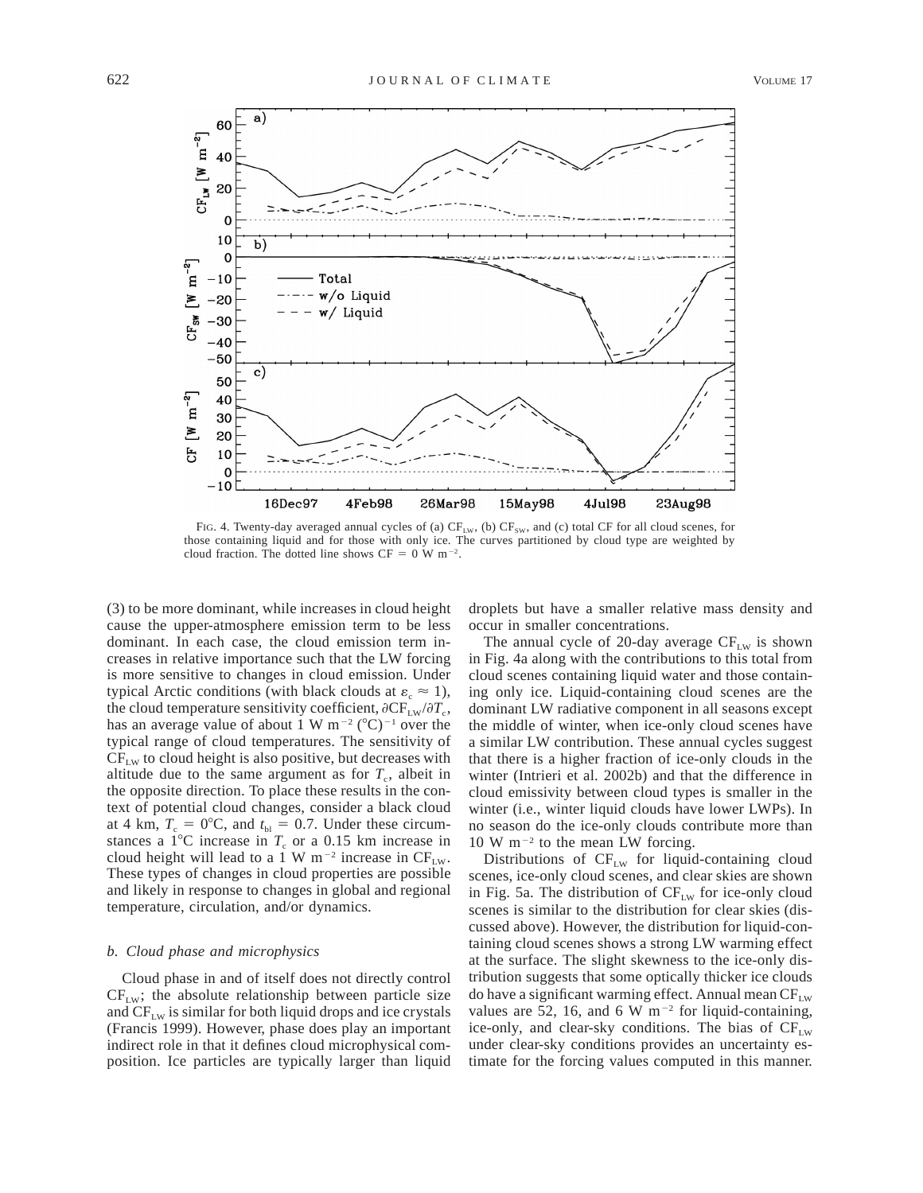

FIG. 4. Twenty-day averaged annual cycles of (a)  $CF_{LW}$ , (b)  $CF_{SW}$ , and (c) total CF for all cloud scenes, for those containing liquid and for those with only ice. The curves partitioned by cloud type are weighted by cloud fraction. The dotted line shows  $CF = 0$  W m<sup>-2</sup>.

(3) to be more dominant, while increases in cloud height cause the upper-atmosphere emission term to be less dominant. In each case, the cloud emission term increases in relative importance such that the LW forcing is more sensitive to changes in cloud emission. Under typical Arctic conditions (with black clouds at  $\varepsilon_c \approx 1$ ), the cloud temperature sensitivity coefficient,  $\partial CF_{LW}/\partial T_c$ , has an average value of about 1 W  $m^{-2}$  (°C)<sup>-1</sup> over the typical range of cloud temperatures. The sensitivity of  $CF_{LW}$  to cloud height is also positive, but decreases with altitude due to the same argument as for  $T_c$ , albeit in the opposite direction. To place these results in the context of potential cloud changes, consider a black cloud at 4 km,  $T_c = 0$ °C, and  $t_{bl} = 0.7$ . Under these circumstances a  $1^{\circ}$ C increase in  $T_c$  or a 0.15 km increase in cloud height will lead to a 1 W m<sup>-2</sup> increase in  $CF_{LW}$ . These types of changes in cloud properties are possible and likely in response to changes in global and regional temperature, circulation, and/or dynamics.

### *b. Cloud phase and microphysics*

Cloud phase in and of itself does not directly control  $CF<sub>LW</sub>$ ; the absolute relationship between particle size and  $CF_{LW}$  is similar for both liquid drops and ice crystals (Francis 1999). However, phase does play an important indirect role in that it defines cloud microphysical composition. Ice particles are typically larger than liquid

droplets but have a smaller relative mass density and occur in smaller concentrations.

The annual cycle of 20-day average  $CF_{LW}$  is shown in Fig. 4a along with the contributions to this total from cloud scenes containing liquid water and those containing only ice. Liquid-containing cloud scenes are the dominant LW radiative component in all seasons except the middle of winter, when ice-only cloud scenes have a similar LW contribution. These annual cycles suggest that there is a higher fraction of ice-only clouds in the winter (Intrieri et al. 2002b) and that the difference in cloud emissivity between cloud types is smaller in the winter (i.e., winter liquid clouds have lower LWPs). In no season do the ice-only clouds contribute more than  $10 \text{ W m}^{-2}$  to the mean LW forcing.

Distributions of  $CF_{LW}$  for liquid-containing cloud scenes, ice-only cloud scenes, and clear skies are shown in Fig. 5a. The distribution of  $CF_{LW}$  for ice-only cloud scenes is similar to the distribution for clear skies (discussed above). However, the distribution for liquid-containing cloud scenes shows a strong LW warming effect at the surface. The slight skewness to the ice-only distribution suggests that some optically thicker ice clouds do have a significant warming effect. Annual mean  $CF_{LW}$ values are 52, 16, and 6 W  $m^{-2}$  for liquid-containing, ice-only, and clear-sky conditions. The bias of  $CF_{LW}$ under clear-sky conditions provides an uncertainty estimate for the forcing values computed in this manner.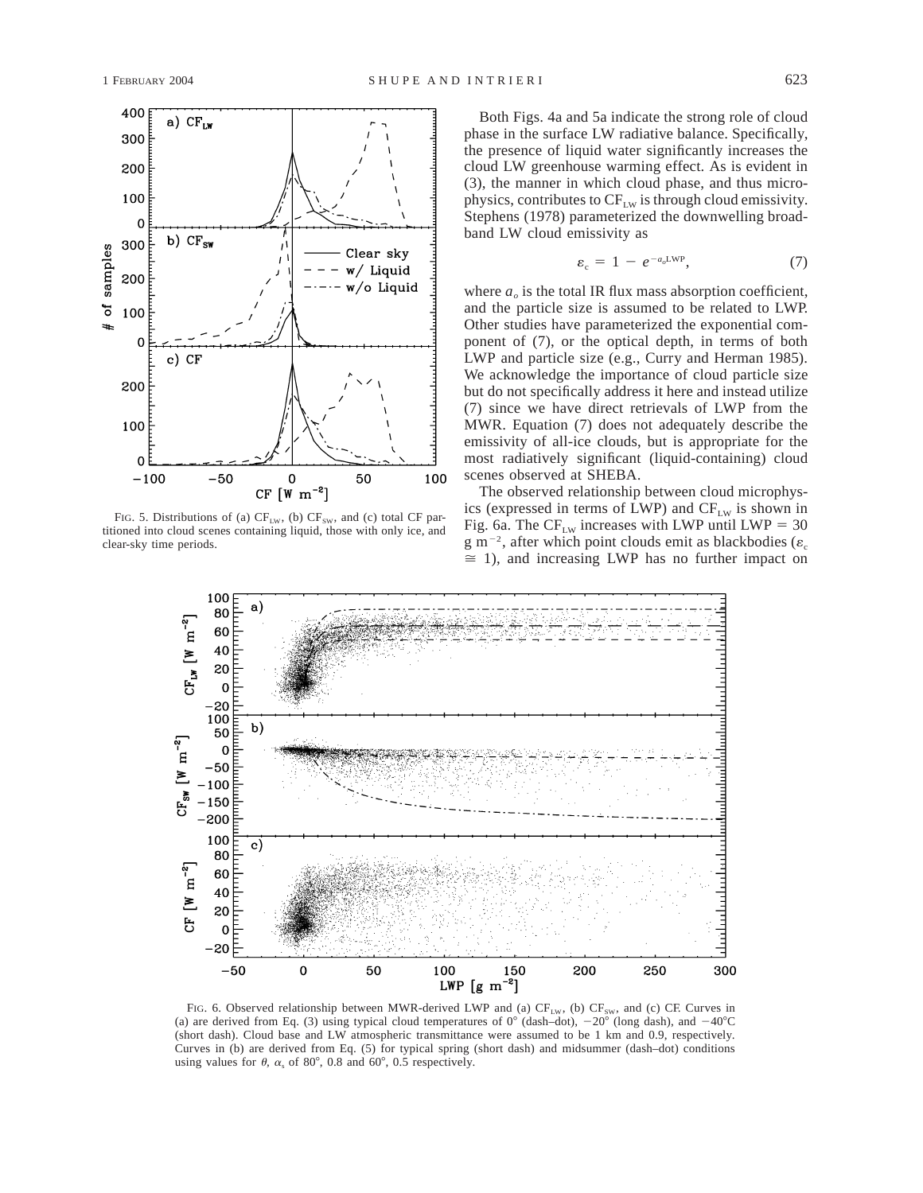

FIG. 5. Distributions of (a)  $CF_{LW}$ , (b)  $CF_{SW}$ , and (c) total CF partitioned into cloud scenes containing liquid, those with only ice, and clear-sky time periods.

Both Figs. 4a and 5a indicate the strong role of cloud phase in the surface LW radiative balance. Specifically, the presence of liquid water significantly increases the cloud LW greenhouse warming effect. As is evident in (3), the manner in which cloud phase, and thus microphysics, contributes to  $CF_{LW}$  is through cloud emissivity. Stephens (1978) parameterized the downwelling broadband LW cloud emissivity as

$$
\varepsilon_{\rm c} = 1 - e^{-a_o LWP}, \tag{7}
$$

where  $a<sub>o</sub>$  is the total IR flux mass absorption coefficient, and the particle size is assumed to be related to LWP. Other studies have parameterized the exponential component of (7), or the optical depth, in terms of both LWP and particle size (e.g., Curry and Herman 1985). We acknowledge the importance of cloud particle size but do not specifically address it here and instead utilize (7) since we have direct retrievals of LWP from the MWR. Equation (7) does not adequately describe the emissivity of all-ice clouds, but is appropriate for the most radiatively significant (liquid-containing) cloud scenes observed at SHEBA.

The observed relationship between cloud microphysics (expressed in terms of LWP) and  $CF_{LW}$  is shown in Fig. 6a. The  $CF_{LW}$  increases with LWP until LWP = 30 g m<sup>-2</sup>, after which point clouds emit as blackbodies ( $\varepsilon_c$ )  $\cong$  1), and increasing LWP has no further impact on



FIG. 6. Observed relationship between MWR-derived LWP and (a)  $CF_{LW}$ , (b)  $CF_{SW}$ , and (c) CF. Curves in (a) are derived from Eq. (3) using typical cloud temperatures of  $0^{\circ}$  (dash–dot),  $-20^{\circ}$  (long dash), and  $-40^{\circ}$ C (short dash). Cloud base and LW atmospheric transmittance were assumed to be 1 km and 0.9, respectively. Curves in (b) are derived from Eq. (5) for typical spring (short dash) and midsummer (dash–dot) conditions using values for  $\theta$ ,  $\alpha_s$  of 80°, 0.8 and 60°, 0.5 respectively.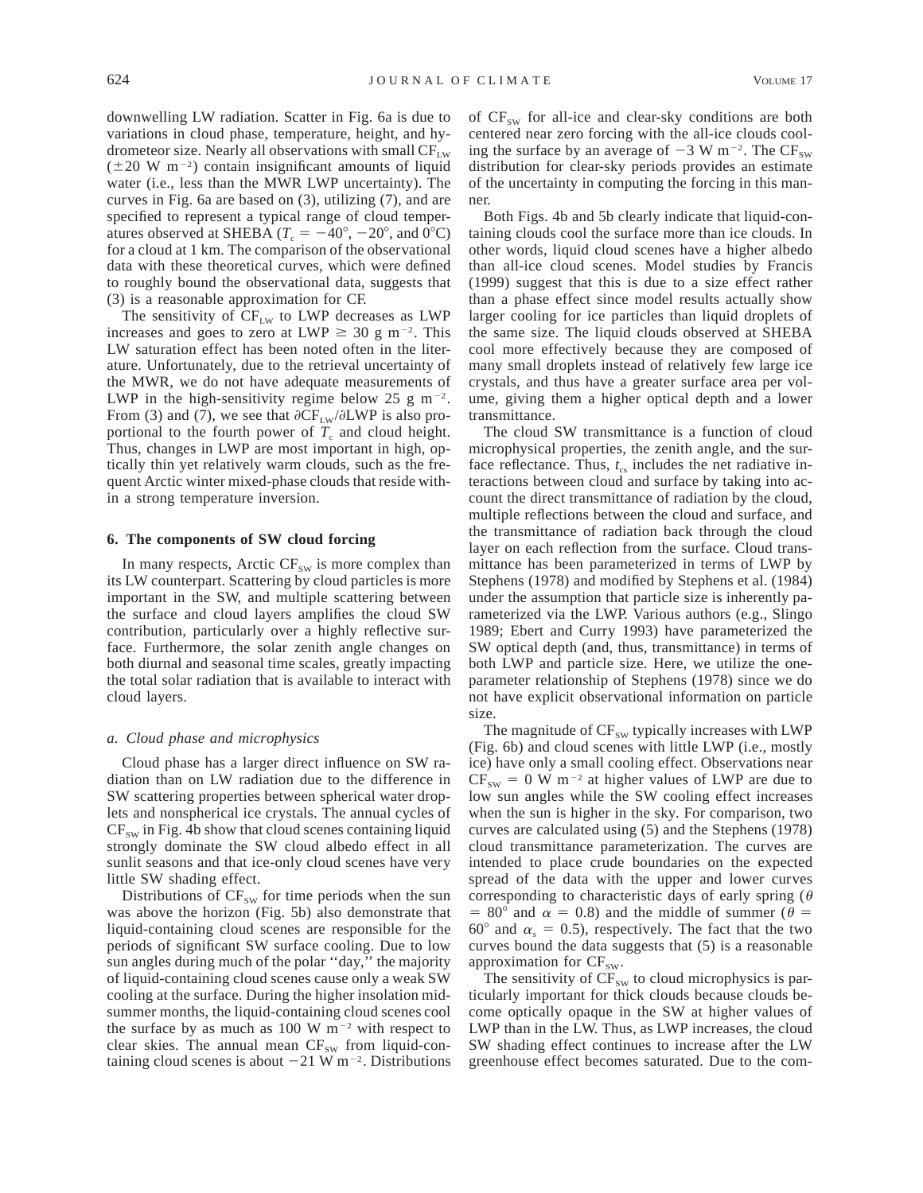downwelling LW radiation. Scatter in Fig. 6a is due to variations in cloud phase, temperature, height, and hydrometeor size. Nearly all observations with small  $CF_{LW}$  $(\pm 20 \text{ W m}^{-2})$  contain insignificant amounts of liquid water (i.e., less than the MWR LWP uncertainty). The curves in Fig. 6a are based on (3), utilizing (7), and are specified to represent a typical range of cloud temperatures observed at SHEBA ( $T_c = -40^\circ$ ,  $-20^\circ$ , and 0°C) for a cloud at 1 km. The comparison of the observational data with these theoretical curves, which were defined to roughly bound the observational data, suggests that (3) is a reasonable approximation for CF.

The sensitivity of  $CF_{LW}$  to LWP decreases as LWP increases and goes to zero at LWP  $\geq$  30 g m<sup>-2</sup>. This LW saturation effect has been noted often in the literature. Unfortunately, due to the retrieval uncertainty of the MWR, we do not have adequate measurements of LWP in the high-sensitivity regime below 25 g m<sup>-2</sup>. From (3) and (7), we see that  $\partial CF_{LW}/\partial LWP$  is also proportional to the fourth power of  $T_c$  and cloud height. Thus, changes in LWP are most important in high, optically thin yet relatively warm clouds, such as the frequent Arctic winter mixed-phase clouds that reside within a strong temperature inversion.

#### **6. The components of SW cloud forcing**

In many respects, Arctic  $CF_{sw}$  is more complex than its LW counterpart. Scattering by cloud particles is more important in the SW, and multiple scattering between the surface and cloud layers amplifies the cloud SW contribution, particularly over a highly reflective surface. Furthermore, the solar zenith angle changes on both diurnal and seasonal time scales, greatly impacting the total solar radiation that is available to interact with cloud layers.

#### *a. Cloud phase and microphysics*

Cloud phase has a larger direct influence on SW radiation than on LW radiation due to the difference in SW scattering properties between spherical water droplets and nonspherical ice crystals. The annual cycles of  $CF_{sw}$  in Fig. 4b show that cloud scenes containing liquid strongly dominate the SW cloud albedo effect in all sunlit seasons and that ice-only cloud scenes have very little SW shading effect.

Distributions of  $CF_{SW}$  for time periods when the sun was above the horizon (Fig. 5b) also demonstrate that liquid-containing cloud scenes are responsible for the periods of significant SW surface cooling. Due to low sun angles during much of the polar ''day,'' the majority of liquid-containing cloud scenes cause only a weak SW cooling at the surface. During the higher insolation midsummer months, the liquid-containing cloud scenes cool the surface by as much as 100 W  $m^{-2}$  with respect to clear skies. The annual mean  $CF_{sw}$  from liquid-containing cloud scenes is about  $-21$  W m<sup>-2</sup>. Distributions of  $CF_{sw}$  for all-ice and clear-sky conditions are both centered near zero forcing with the all-ice clouds cooling the surface by an average of  $-3 \text{ W m}^{-2}$ . The CF<sub>SW</sub> distribution for clear-sky periods provides an estimate of the uncertainty in computing the forcing in this manner.

Both Figs. 4b and 5b clearly indicate that liquid-containing clouds cool the surface more than ice clouds. In other words, liquid cloud scenes have a higher albedo than all-ice cloud scenes. Model studies by Francis (1999) suggest that this is due to a size effect rather than a phase effect since model results actually show larger cooling for ice particles than liquid droplets of the same size. The liquid clouds observed at SHEBA cool more effectively because they are composed of many small droplets instead of relatively few large ice crystals, and thus have a greater surface area per volume, giving them a higher optical depth and a lower transmittance.

The cloud SW transmittance is a function of cloud microphysical properties, the zenith angle, and the surface reflectance. Thus,  $t_{cs}$  includes the net radiative interactions between cloud and surface by taking into account the direct transmittance of radiation by the cloud, multiple reflections between the cloud and surface, and the transmittance of radiation back through the cloud layer on each reflection from the surface. Cloud transmittance has been parameterized in terms of LWP by Stephens (1978) and modified by Stephens et al. (1984) under the assumption that particle size is inherently parameterized via the LWP. Various authors (e.g., Slingo 1989; Ebert and Curry 1993) have parameterized the SW optical depth (and, thus, transmittance) in terms of both LWP and particle size. Here, we utilize the oneparameter relationship of Stephens (1978) since we do not have explicit observational information on particle size.

The magnitude of  $CF_{sw}$  typically increases with LWP (Fig. 6b) and cloud scenes with little LWP (i.e., mostly ice) have only a small cooling effect. Observations near  $CF_{sw} = 0$  W m<sup>-2</sup> at higher values of LWP are due to low sun angles while the SW cooling effect increases when the sun is higher in the sky. For comparison, two curves are calculated using (5) and the Stephens (1978) cloud transmittance parameterization. The curves are intended to place crude boundaries on the expected spread of the data with the upper and lower curves corresponding to characteristic days of early spring ( $\theta$ ) = 80° and  $\alpha$  = 0.8) and the middle of summer ( $\theta$  = 60 $^{\circ}$  and  $\alpha_s = 0.5$ ), respectively. The fact that the two curves bound the data suggests that (5) is a reasonable approximation for  $CF_{sw}$ .

The sensitivity of  $CF_{sw}$  to cloud microphysics is particularly important for thick clouds because clouds become optically opaque in the SW at higher values of LWP than in the LW. Thus, as LWP increases, the cloud SW shading effect continues to increase after the LW greenhouse effect becomes saturated. Due to the com-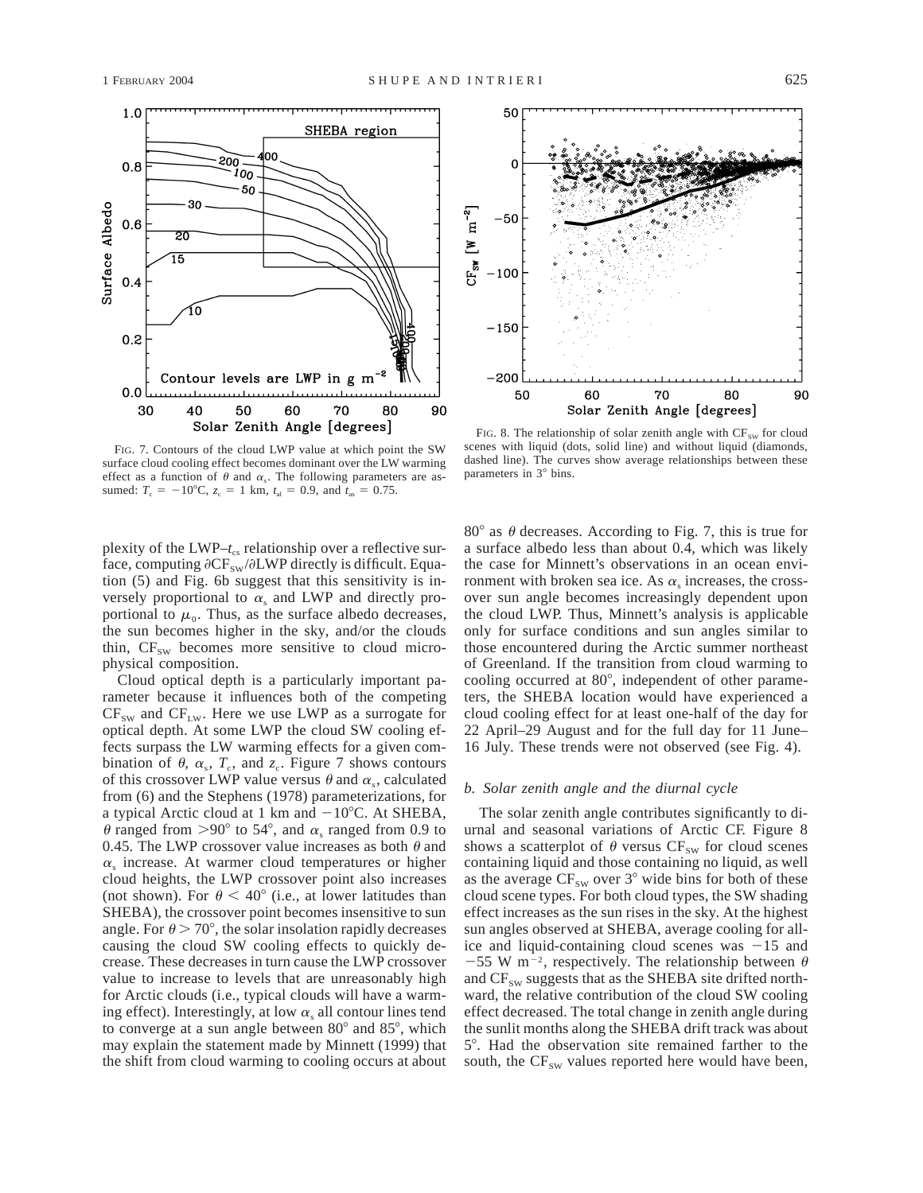

FIG. 7. Contours of the cloud LWP value at which point the SW surface cloud cooling effect becomes dominant over the LW warming effect as a function of  $\theta$  and  $\alpha_s$ . The following parameters are assumed:  $T_c = -10^{\circ}\text{C}$ ,  $z_c = 1 \text{ km}$ ,  $t_{\text{al}} = 0.9$ , and  $t_{\text{as}} = 0.75$ .

plexity of the LWP– $t_c$  relationship over a reflective surface, computing  $\partial CF_{sw}/\partial LWP$  directly is difficult. Equation (5) and Fig. 6b suggest that this sensitivity is inversely proportional to  $\alpha_s$  and LWP and directly proportional to  $\mu_0$ . Thus, as the surface albedo decreases, the sun becomes higher in the sky, and/or the clouds thin,  $CF_{sw}$  becomes more sensitive to cloud microphysical composition.

Cloud optical depth is a particularly important parameter because it influences both of the competing  $CF_{sw}$  and  $CF_{LW}$ . Here we use LWP as a surrogate for optical depth. At some LWP the cloud SW cooling effects surpass the LW warming effects for a given combination of  $\theta$ ,  $\alpha_s$ ,  $T_c$ , and  $z_c$ . Figure 7 shows contours of this crossover LWP value versus  $\theta$  and  $\alpha_s$ , calculated from (6) and the Stephens (1978) parameterizations, for a typical Arctic cloud at 1 km and  $-10^{\circ}$ C. At SHEBA,  $\theta$  ranged from >90° to 54°, and  $\alpha_s$  ranged from 0.9 to 0.45. The LWP crossover value increases as both  $\theta$  and  $\alpha_s$  increase. At warmer cloud temperatures or higher cloud heights, the LWP crossover point also increases (not shown). For  $\theta$  < 40° (i.e., at lower latitudes than SHEBA), the crossover point becomes insensitive to sun angle. For  $\theta > 70^{\circ}$ , the solar insolation rapidly decreases causing the cloud SW cooling effects to quickly decrease. These decreases in turn cause the LWP crossover value to increase to levels that are unreasonably high for Arctic clouds (i.e., typical clouds will have a warming effect). Interestingly, at low  $\alpha_s$  all contour lines tend to converge at a sun angle between  $80^{\circ}$  and  $85^{\circ}$ , which may explain the statement made by Minnett (1999) that the shift from cloud warming to cooling occurs at about



FIG. 8. The relationship of solar zenith angle with  $CF_{SW}$  for cloud scenes with liquid (dots, solid line) and without liquid (diamonds, dashed line). The curves show average relationships between these parameters in 3° bins.

80 $\degree$  as  $\theta$  decreases. According to Fig. 7, this is true for a surface albedo less than about 0.4, which was likely the case for Minnett's observations in an ocean environment with broken sea ice. As  $\alpha$ , increases, the crossover sun angle becomes increasingly dependent upon the cloud LWP. Thus, Minnett's analysis is applicable only for surface conditions and sun angles similar to those encountered during the Arctic summer northeast of Greenland. If the transition from cloud warming to cooling occurred at  $80^\circ$ , independent of other parameters, the SHEBA location would have experienced a cloud cooling effect for at least one-half of the day for 22 April–29 August and for the full day for 11 June– 16 July. These trends were not observed (see Fig. 4).

### *b. Solar zenith angle and the diurnal cycle*

The solar zenith angle contributes significantly to diurnal and seasonal variations of Arctic CF. Figure 8 shows a scatterplot of  $\theta$  versus CF<sub>SW</sub> for cloud scenes containing liquid and those containing no liquid, as well as the average  $CF_{sw}$  over 3° wide bins for both of these cloud scene types. For both cloud types, the SW shading effect increases as the sun rises in the sky. At the highest sun angles observed at SHEBA, average cooling for allice and liquid-containing cloud scenes was  $-15$  and -55 W m<sup>-2</sup>, respectively. The relationship between  $\theta$ and  $CF_{sw}$  suggests that as the SHEBA site drifted northward, the relative contribution of the cloud SW cooling effect decreased. The total change in zenith angle during the sunlit months along the SHEBA drift track was about 5°. Had the observation site remained farther to the south, the  $CF_{SW}$  values reported here would have been,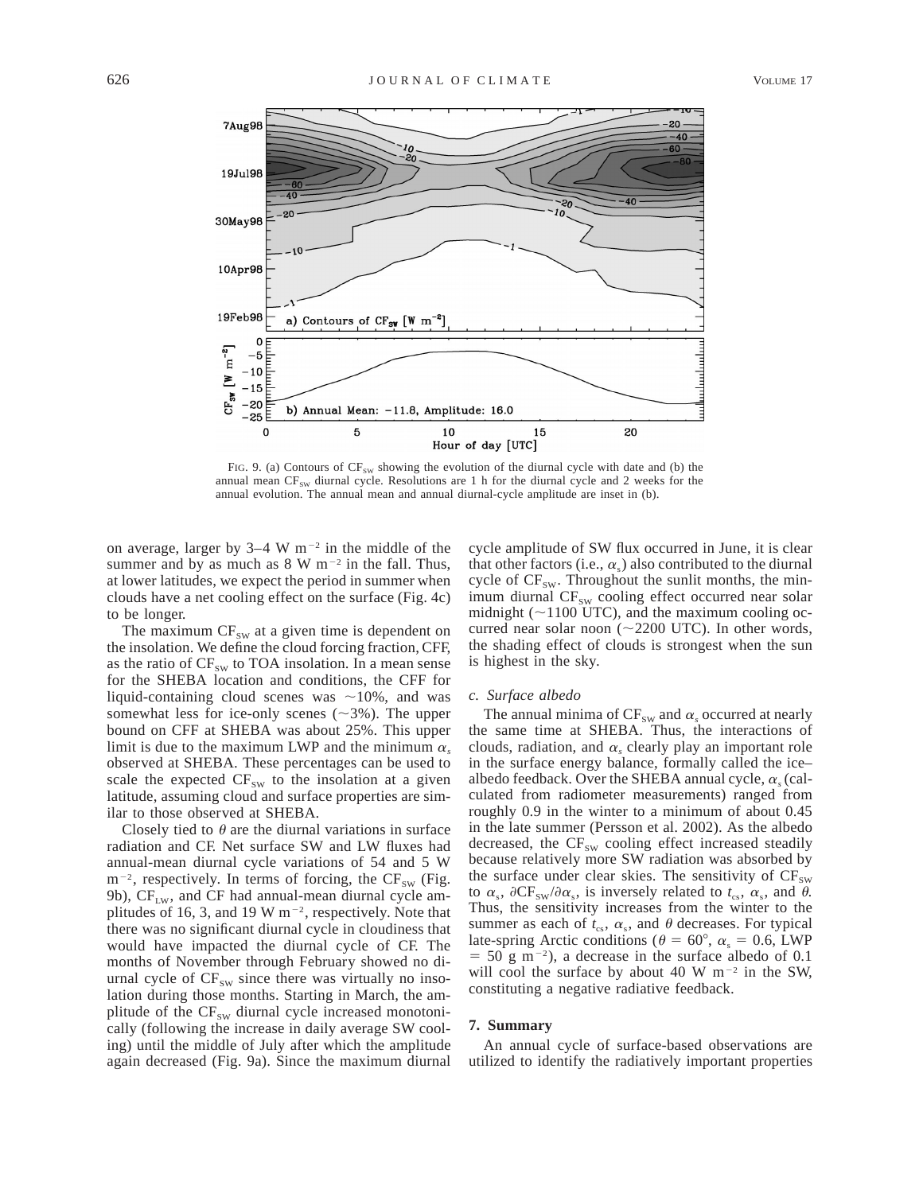

FIG. 9. (a) Contours of  $CF_{sw}$  showing the evolution of the diurnal cycle with date and (b) the annual mean  $CF_{SW}$  diurnal cycle. Resolutions are 1 h for the diurnal cycle and 2 weeks for the annual evolution. The annual mean and annual diurnal-cycle amplitude are inset in (b).

on average, larger by  $3-4 \text{ W m}^{-2}$  in the middle of the summer and by as much as  $8 \text{ W m}^{-2}$  in the fall. Thus, at lower latitudes, we expect the period in summer when clouds have a net cooling effect on the surface (Fig. 4c) to be longer.

The maximum  $CF_{sw}$  at a given time is dependent on the insolation. We define the cloud forcing fraction, CFF, as the ratio of  $CF_{sw}$  to TOA insolation. In a mean sense for the SHEBA location and conditions, the CFF for liquid-containing cloud scenes was  $\sim$ 10%, and was somewhat less for ice-only scenes  $(\sim 3\%)$ . The upper bound on CFF at SHEBA was about 25%. This upper limit is due to the maximum LWP and the minimum  $\alpha_s$ observed at SHEBA. These percentages can be used to scale the expected  $CF_{sw}$  to the insolation at a given latitude, assuming cloud and surface properties are similar to those observed at SHEBA.

Closely tied to  $\theta$  are the diurnal variations in surface radiation and CF. Net surface SW and LW fluxes had annual-mean diurnal cycle variations of 54 and 5 W  $m^{-2}$ , respectively. In terms of forcing, the CF<sub>SW</sub> (Fig. 9b),  $CF_{LW}$ , and  $CF$  had annual-mean diurnal cycle amplitudes of 16, 3, and 19 W  $m^{-2}$ , respectively. Note that there was no significant diurnal cycle in cloudiness that would have impacted the diurnal cycle of CF. The months of November through February showed no diurnal cycle of  $CF_{sw}$  since there was virtually no insolation during those months. Starting in March, the amplitude of the  $CF_{sw}$  diurnal cycle increased monotonically (following the increase in daily average SW cooling) until the middle of July after which the amplitude again decreased (Fig. 9a). Since the maximum diurnal

cycle amplitude of SW flux occurred in June, it is clear that other factors (i.e.,  $\alpha_s$ ) also contributed to the diurnal cycle of  $CF_{sw}$ . Throughout the sunlit months, the minimum diurnal CF<sub>SW</sub> cooling effect occurred near solar midnight ( $\sim$ 1100 UTC), and the maximum cooling occurred near solar noon ( $\sim$ 2200 UTC). In other words, the shading effect of clouds is strongest when the sun is highest in the sky.

### *c. Surface albedo*

The annual minima of  $CF_{sw}$  and  $\alpha_s$  occurred at nearly the same time at SHEBA. Thus, the interactions of clouds, radiation, and  $\alpha$ , clearly play an important role in the surface energy balance, formally called the ice– albedo feedback. Over the SHEBA annual cycle,  $\alpha_s$  (calculated from radiometer measurements) ranged from roughly 0.9 in the winter to a minimum of about 0.45 in the late summer (Persson et al. 2002). As the albedo decreased, the  $CF_{SW}$  cooling effect increased steadily because relatively more SW radiation was absorbed by the surface under clear skies. The sensitivity of  $CF_{SW}$ to  $\alpha_s$ ,  $\partial CF_{sw}/\partial \alpha_s$ , is inversely related to  $t_{cs}$ ,  $\alpha_s$ , and  $\theta$ . Thus, the sensitivity increases from the winter to the summer as each of  $t_{cs}$ ,  $\alpha_s$ , and  $\theta$  decreases. For typical late-spring Arctic conditions ( $\theta = 60^{\circ}$ ,  $\alpha_s = 0.6$ , LWP  $=$  50 g m<sup>-2</sup>), a decrease in the surface albedo of 0.1 will cool the surface by about 40 W  $m^{-2}$  in the SW, constituting a negative radiative feedback.

## **7. Summary**

An annual cycle of surface-based observations are utilized to identify the radiatively important properties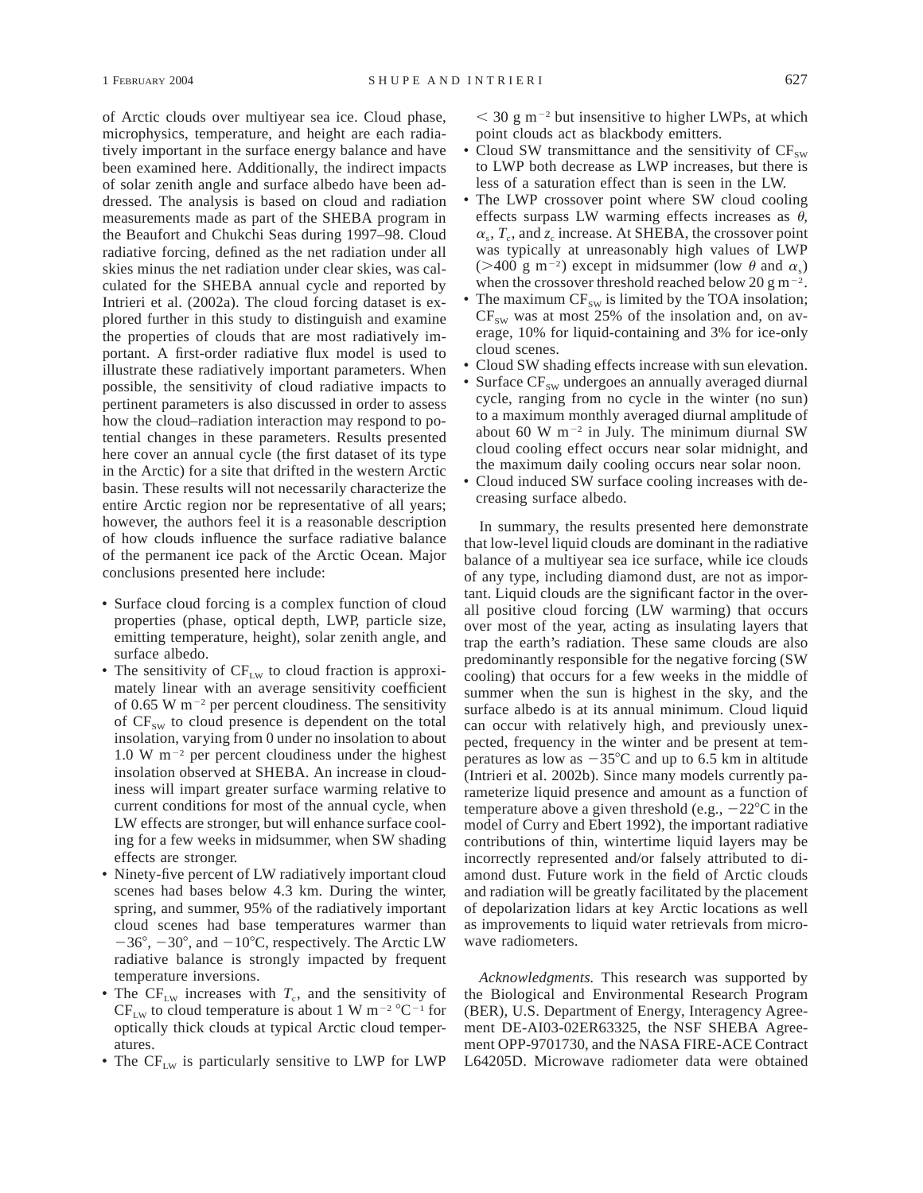of Arctic clouds over multiyear sea ice. Cloud phase, microphysics, temperature, and height are each radiatively important in the surface energy balance and have been examined here. Additionally, the indirect impacts of solar zenith angle and surface albedo have been addressed. The analysis is based on cloud and radiation measurements made as part of the SHEBA program in the Beaufort and Chukchi Seas during 1997–98. Cloud radiative forcing, defined as the net radiation under all skies minus the net radiation under clear skies, was calculated for the SHEBA annual cycle and reported by Intrieri et al. (2002a). The cloud forcing dataset is explored further in this study to distinguish and examine the properties of clouds that are most radiatively important. A first-order radiative flux model is used to illustrate these radiatively important parameters. When possible, the sensitivity of cloud radiative impacts to pertinent parameters is also discussed in order to assess how the cloud–radiation interaction may respond to potential changes in these parameters. Results presented here cover an annual cycle (the first dataset of its type in the Arctic) for a site that drifted in the western Arctic basin. These results will not necessarily characterize the entire Arctic region nor be representative of all years; however, the authors feel it is a reasonable description of how clouds influence the surface radiative balance of the permanent ice pack of the Arctic Ocean. Major conclusions presented here include:

- Surface cloud forcing is a complex function of cloud properties (phase, optical depth, LWP, particle size, emitting temperature, height), solar zenith angle, and surface albedo.
- The sensitivity of  $CF_{LW}$  to cloud fraction is approximately linear with an average sensitivity coefficient of 0.65 W  $m^{-2}$  per percent cloudiness. The sensitivity of  $CF_{sw}$  to cloud presence is dependent on the total insolation, varying from 0 under no insolation to about 1.0 W  $m^{-2}$  per percent cloudiness under the highest insolation observed at SHEBA. An increase in cloudiness will impart greater surface warming relative to current conditions for most of the annual cycle, when LW effects are stronger, but will enhance surface cooling for a few weeks in midsummer, when SW shading effects are stronger.
- Ninety-five percent of LW radiatively important cloud scenes had bases below 4.3 km. During the winter, spring, and summer, 95% of the radiatively important cloud scenes had base temperatures warmer than  $-36^{\circ}$ ,  $-30^{\circ}$ , and  $-10^{\circ}$ C, respectively. The Arctic LW radiative balance is strongly impacted by frequent temperature inversions.
- The  $CF_{LW}$  increases with  $T_c$ , and the sensitivity of  $CF_{LW}$  to cloud temperature is about 1 W m<sup>-2</sup> °C<sup>-1</sup> for optically thick clouds at typical Arctic cloud temperatures.
- The  $CF_{LW}$  is particularly sensitive to LWP for LWP

 $<$  30 g m<sup>-2</sup> but insensitive to higher LWPs, at which point clouds act as blackbody emitters.

- Cloud SW transmittance and the sensitivity of  $CF_{sw}$ to LWP both decrease as LWP increases, but there is less of a saturation effect than is seen in the LW.
- The LWP crossover point where SW cloud cooling effects surpass LW warming effects increases as  $\theta$ ,  $\alpha_s$ ,  $T_c$ , and  $\zeta_c$  increase. At SHEBA, the crossover point was typically at unreasonably high values of LWP ( $>400 \text{ g m}^{-2}$ ) except in midsummer (low  $\theta$  and  $\alpha_s$ ) when the crossover threshold reached below 20 g m<sup>-2</sup>.
- The maximum  $CF_{SW}$  is limited by the TOA insolation;  $CF_{sw}$  was at most 25% of the insolation and, on average, 10% for liquid-containing and 3% for ice-only cloud scenes.
- Cloud SW shading effects increase with sun elevation.
- Surface  $CF_{sw}$  undergoes an annually averaged diurnal cycle, ranging from no cycle in the winter (no sun) to a maximum monthly averaged diurnal amplitude of about 60 W  $m^{-2}$  in July. The minimum diurnal SW cloud cooling effect occurs near solar midnight, and the maximum daily cooling occurs near solar noon.
- Cloud induced SW surface cooling increases with decreasing surface albedo.

In summary, the results presented here demonstrate that low-level liquid clouds are dominant in the radiative balance of a multiyear sea ice surface, while ice clouds of any type, including diamond dust, are not as important. Liquid clouds are the significant factor in the overall positive cloud forcing (LW warming) that occurs over most of the year, acting as insulating layers that trap the earth's radiation. These same clouds are also predominantly responsible for the negative forcing (SW cooling) that occurs for a few weeks in the middle of summer when the sun is highest in the sky, and the surface albedo is at its annual minimum. Cloud liquid can occur with relatively high, and previously unexpected, frequency in the winter and be present at temperatures as low as  $-35^{\circ}$ C and up to 6.5 km in altitude (Intrieri et al. 2002b). Since many models currently parameterize liquid presence and amount as a function of temperature above a given threshold (e.g.,  $-22^{\circ}$ C in the model of Curry and Ebert 1992), the important radiative contributions of thin, wintertime liquid layers may be incorrectly represented and/or falsely attributed to diamond dust. Future work in the field of Arctic clouds and radiation will be greatly facilitated by the placement of depolarization lidars at key Arctic locations as well as improvements to liquid water retrievals from microwave radiometers.

*Acknowledgments.* This research was supported by the Biological and Environmental Research Program (BER), U.S. Department of Energy, Interagency Agreement DE-AI03-02ER63325, the NSF SHEBA Agreement OPP-9701730, and the NASA FIRE-ACE Contract L64205D. Microwave radiometer data were obtained